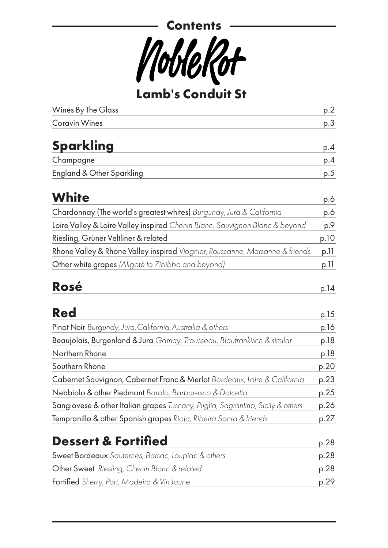

**Lamb's Conduit St**

| <b>Wines By The Glass</b>                                                      | p.2          |
|--------------------------------------------------------------------------------|--------------|
| <b>Coravin Wines</b>                                                           | p.3          |
| <b>Sparkling</b>                                                               | p.4          |
| Champagne                                                                      | p.4          |
| <b>England &amp; Other Sparkling</b>                                           | p.5          |
| <b>White</b>                                                                   | p.6          |
| Chardonnay (The world's greatest whites) Burgundy, Jura & California           | p.6          |
| Loire Valley & Loire Valley inspired Chenin Blanc, Sauvignon Blanc & beyond    | p.9          |
| Riesling, Grüner Veltliner & related                                           | p.10         |
| Rhone Valley & Rhone Valley inspired Viognier, Roussanne, Marsanne & friends   | p.11         |
| Other white grapes (Aligoté to Zibibbo and beyond)                             | p.11         |
| <b>Rosé</b><br><b>Red</b>                                                      | p.14<br>p.15 |
| Pinot Noir Burgundy, Jura, California, Australia & others                      | p.16         |
| Beaujolais, Burgenland & Jura Gamay, Trousseau, Blaufrankisch & similar        | p.18         |
| Northern Rhone                                                                 | p.18         |
| Southern Rhone                                                                 | p.20         |
| Cabernet Sauvignon, Cabernet Franc & Merlot Bordeaux, Loire & California       | p.23         |
| Nebbiolo & other Piedmont Barolo, Barbaresco & Dolcetto                        | p.25         |
| Sangiovese & other Italian grapes Tuscany, Puglia, Sagrantino, Sicily & others | p.26         |
| Tempranillo & other Spanish grapes Rioja, Ribeira Sacra & friends              | p.27         |
| <b>Dessert &amp; Fortified</b>                                                 | p.28         |
| Sweet Bordeaux Sauternes, Barsac, Loupiac & others                             | p.28         |
| Other Sweet Riesling, Chenin Blanc & related                                   | p.28         |
| <b>Fortified</b> Sherry, Port, Madeira & Vin Jaune                             | p.29         |
|                                                                                |              |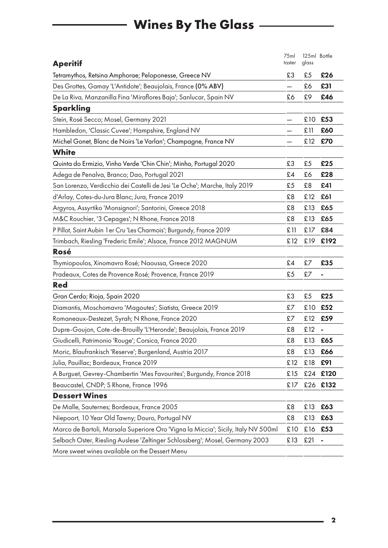## **Wines By The Glass**

| <b>Aperitif</b>                                                                   | 75ml<br>taster | 125ml Bottle<br>glass |      |
|-----------------------------------------------------------------------------------|----------------|-----------------------|------|
| Tetramythos, Retsina Amphorae; Peloponesse, Greece NV                             | £3             | £5                    | £26  |
| Des Grottes, Gamay 'L'Antidote'; Beaujolais, France (0% ABV)                      |                | £6                    | £31  |
| De La Riva, Manzanilla Fina 'Miraflores Baja'; Sanlucar, Spain NV                 | £6             | £9                    | £46  |
| <b>Sparkling</b>                                                                  |                |                       |      |
| Stein, Rosé Secco; Mosel, Germany 2021                                            |                | £10                   | £53  |
| Hambledon, 'Classic Cuvee'; Hampshire, England NV                                 |                | £11                   | £60  |
| Michel Gonet, Blanc de Noirs 'Le Varlan'; Champagne, France NV                    |                | £12                   | £70  |
| <b>White</b>                                                                      |                |                       |      |
| Quinta do Ermizio, Vinho Verde 'Chin Chin'; Minho, Portugal 2020                  | £3             | £5                    | £25  |
| Adega de Penalva, Branco; Dao, Portugal 2021                                      | £4             | £6                    | £28  |
| San Lorenzo, Verdicchio dei Castelli de Jesi 'Le Oche'; Marche, Italy 2019        | £5             | £8                    | £41  |
| d'Arlay, Cotes-du-Jura Blanc; Jura, France 2019                                   | £8             | £12                   | £61  |
| Argyros, Assyrtiko 'Monsignori'; Santorini, Greece 2018                           | £8             | £13                   | £65  |
| M&C Rouchier, '3 Cepages'; N Rhone, France 2018                                   | £8             | £13                   | £65  |
| P Pillot, Saint Aubin 1 er Cru 'Les Charmois'; Burgundy, France 2019              | £11            | £17                   | £84  |
| Trimbach, Riesling 'Frederic Emile'; Alsace, France 2012 MAGNUM                   | £12            | £19                   | £192 |
| Rosé                                                                              |                |                       |      |
| Thymiopoulos, Xinomavro Rosé; Naoussa, Greece 2020                                | £4             | £7                    | £35  |
| Pradeaux, Cotes de Provence Rosé; Provence, France 2019                           | £5             | £7                    | ۰    |
| <b>Red</b>                                                                        |                |                       |      |
| Gran Cerdo; Rioja, Spain 2020                                                     | £3             | £5                    | £25  |
| Diamantis, Moschomavro 'Magoutes'; Siatista, Greece 2019                          | £7             | £10                   | £52  |
| Romaneaux-Destezet, Syrah; N Rhone, France 2020                                   | £7             | £12                   | £59  |
| Dupre-Goujon, Cote-de-Brouilly 'L'Heronde'; Beaujolais, France 2019               | £8             | £12                   |      |
| Giudicelli, Patrimonio 'Rouge'; Corsica, France 2020                              | £8             | £13                   | £65  |
| Moric, Blaufrankisch 'Reserve'; Burgenland, Austria 2017                          | £8             | £13                   | £66  |
| Julia, Pauillac; Bordeaux, France 2019                                            | £12            | £18                   | £91  |
| A Burguet, Gevrey-Chambertin 'Mes Favourites'; Burgundy, France 2018              | £15            | £24                   | £120 |
| Beaucastel, CNDP; S Rhone, France 1996                                            | £17            | £26                   | £132 |
| <b>Dessert Wines</b>                                                              |                |                       |      |
| De Malle, Sauternes; Bordeaux, France 2005                                        | £8             | £13                   | £63  |
| Niepoort, 10 Year Old Tawny; Douro, Portugal NV                                   | £8             | £13                   | £63  |
| Marco de Bartoli, Marsala Superiore Oro 'Vigna la Miccia'; Sicily, Italy NV 500ml | £10            | £16                   | £53  |
| Selbach Oster, Riesling Auslese 'Zeltinger Schlossberg'; Mosel, Germany 2003      | £13            | £21                   |      |
| More sweet wines available on the Dessert Menu                                    |                |                       |      |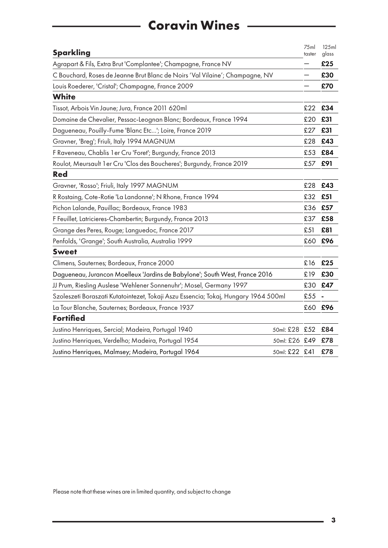## **Coravin Wines**

L

| <b>Sparkling</b>                                                                    |               | 75ml<br>taster | 125ml<br>glass |
|-------------------------------------------------------------------------------------|---------------|----------------|----------------|
| Agrapart & Fils, Extra Brut 'Complantee'; Champagne, France NV                      |               |                | £25            |
| C Bouchard, Roses de Jeanne Brut Blanc de Noirs 'Val Vilaine'; Champagne, NV        |               |                | £30            |
| Louis Roederer, 'Cristal'; Champagne, France 2009                                   |               |                | £70            |
| <b>White</b>                                                                        |               |                |                |
| Tissot, Arbois Vin Jaune; Jura, France 2011 620ml                                   |               | £22            | £34            |
| Domaine de Chevalier, Pessac-Leognan Blanc; Bordeaux, France 1994                   |               | £20            | £31            |
| Dagueneau, Pouilly-Fume 'Blanc Etc'; Loire, France 2019                             |               | £27            | £31            |
| Gravner, 'Breg'; Friuli, Italy 1994 MAGNUM                                          |               | £28            | £43            |
| F Raveneau, Chablis 1 er Cru 'Foret'; Burgundy, France 2013                         |               | £53            | £84            |
| Roulot, Meursault 1 er Cru 'Clos des Boucheres'; Burgundy, France 2019              |               | £57            | £91            |
| <b>Red</b>                                                                          |               |                |                |
| Gravner, 'Rosso'; Friuli, Italy 1997 MAGNUM                                         |               | £28            | £43            |
| R Rostaing, Cote-Rotie 'La Landonne'; N Rhone, France 1994                          |               | £32            | £51            |
| Pichon Lalande, Pauillac; Bordeaux, France 1983                                     |               | £36            | £57            |
| F Feuillet, Latricieres-Chambertin; Burgundy, France 2013                           |               | £37            | £58            |
| Grange des Peres, Rouge; Languedoc, France 2017                                     |               | £51            | £81            |
| Penfolds, 'Grange'; South Australia, Australia 1999                                 |               | £60            | £96            |
| <b>Sweet</b>                                                                        |               |                |                |
| Climens, Sauternes; Bordeaux, France 2000                                           |               | £16            | £25            |
| Dagueneau, Jurancon Moelleux 'Jardins de Babylone'; South West, France 2016         |               | £19            | £30            |
| JJ Prum, Riesling Auslese 'Wehlener Sonnenuhr'; Mosel, Germany 1997                 |               | £30            | £47            |
| Szoleszeti Boraszati Kutatointezet, Tokaji Aszu Essencia; Tokaj, Hungary 1964 500ml |               | £55            |                |
| La Tour Blanche, Sauternes; Bordeaux, France 1937                                   |               | £60            | £96            |
| <b>Fortified</b>                                                                    |               |                |                |
| Justino Henriques, Sercial; Madeira, Portugal 1940                                  | 50ml: £28 £52 |                | £84            |
| Justino Henriques, Verdelho; Madeira, Portugal 1954                                 | 50ml: £26 £49 |                | £78            |
| Justino Henriques, Malmsey; Madeira, Portugal 1964                                  | 50ml: £22 £41 |                | £78            |

Please note that these wines are in limited quantity, and subject to change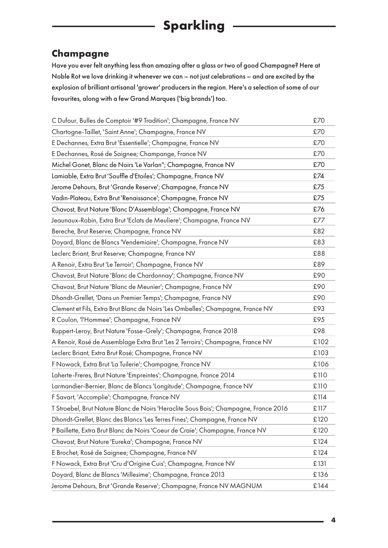#### <span id="page-3-0"></span>**Champagne**

Have you ever felt anything less than amazing after a glass or two of good Champagne? Here at Noble Rot we love drinking it whenever we can – not just celebrations – and are excited by the explosion of brilliant artisanal 'grower' producers in the region. Here's a selection of some of our favourites, along with a few Grand Marques ('big brands') too.

| C Dufour, Bulles de Comptoir '#9 Tradition'; Champagne, France NV                    | £70  |
|--------------------------------------------------------------------------------------|------|
| Chartogne-Taillet, 'Saint Anne'; Champagne, France NV                                | £70  |
| E Dechannes, Extra Brut 'Essentielle'; Champagne, France NV                          | £70  |
| E Dechannes, Rosé de Saignee; Champange, France NV                                   | £70  |
| Michel Gonet, Blanc de Noirs 'Le Varlan"; Champagne, France NV                       | £70  |
| Lamiable, Extra Brut 'Souffle d'Etoiles'; Champagne, France NV                       | £74  |
| Jerome Dehours, Brut 'Grande Reserve'; Champagne, France NV                          | £75  |
| Vadin-Plateau, Extra Brut 'Renaissance'; Champagne, France NV                        | £75  |
| Chavost, Brut Nature 'Blanc D'Assemblage'; Champagne, France NV                      | £76  |
| Jeaunaux-Robin, Extra Brut 'Eclats de Meuliere'; Champagne, France NV                | £77  |
| Bereche, Brut Reserve; Champagne, France NV                                          | £82  |
| Doyard, Blanc de Blancs 'Vendemiaire'; Champagne, France NV                          | £83  |
| Leclerc Briant, Brut Reserve; Champagne, France NV                                   | £88  |
| A Renoir, Extra Brut 'Le Terroir'; Champagne, France NV                              | £89  |
| Chavost, Brut Nature 'Blanc de Chardonnay'; Champagne, France NV                     | £90  |
| Chavost, Brut Nature 'Blanc de Meunier'; Champagne, France NV                        | £90  |
| Dhondt-Grellet, 'Dans un Premier Temps'; Champagne, France NV                        | £90  |
| Clement et Fils, Extra Brut Blanc de Noirs 'Les Ombelles'; Champagne, France NV      | £93  |
| R Coulon, 'l'Hommee'; Champagne, France NV                                           | £95  |
| Ruppert-Leroy, Brut Nature 'Fosse-Grely'; Champagne, France 2018                     | £98  |
| A Renoir, Rosé de Assemblage Extra Brut 'Les 2 Terroirs'; Champagne, France NV       | £102 |
| Leclerc Briant, Extra Brut Rosé; Champagne, France NV                                | £103 |
| F Nowack, Extra Brut 'La Tuilerie'; Champagne, France NV                             | £106 |
| Laherte-Freres, Brut Nature 'Empreintes'; Champagne, France 2014                     | £110 |
| Larmandier-Bernier, Blanc de Blancs 'Longitude'; Champagne, France NV                | £110 |
| F Savart, 'Accomplie'; Champagne, France NV                                          | £114 |
| T Stroebel, Brut Nature Blanc de Noirs 'Heraclite Sous Bois'; Champagne, France 2016 | £117 |
| Dhondt-Grellet, Blanc des Blancs 'Les Terres Fines'; Champagne, France NV            | £120 |
| P Baillette, Extra Brut Blanc de Noirs 'Coeur de Craie'; Champagne, France NV        | £120 |
| Chavost, Brut Nature 'Eureka'; Champagne, France NV                                  | £124 |
| E Brochet, Rosé de Saignee; Champagne, France NV                                     | £124 |
| F Nowack, Extra Brut 'Cru d'Origine Cuis'; Champagne, France NV                      | £131 |
| Doyard, Blanc de Blancs 'Millesime'; Champagne, France 2013                          | £136 |
| Jerome Dehours, Brut 'Grande Reserve'; Champagne, France NV MAGNUM                   | £144 |
|                                                                                      |      |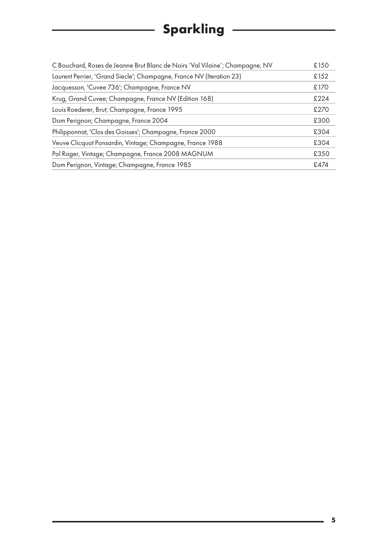## **Sparkling**

 $\overline{\phantom{a}}$ 

| C Bouchard, Roses de Jeanne Brut Blanc de Noirs 'Val Vilaine'; Champagne, NV | £150 |
|------------------------------------------------------------------------------|------|
| Laurent Perrier, 'Grand Siecle'; Champagne, France NV (Iteration 23)         | £152 |
| Jacquesson, 'Cuvee 736'; Champagne, France NV                                | £170 |
| Krug, Grand Cuvee; Champagne, France NV (Edition 168)                        | £224 |
| Louis Roederer, Brut; Champagne, France 1995                                 | £270 |
| Dom Perignon; Champagne, France 2004                                         | £300 |
| Philipponnat, 'Clos des Goisses'; Champagne, France 2000                     | £304 |
| Veuve Clicquot Ponsardin, Vintage; Champagne, France 1988                    | £304 |
| Pol Roger, Vintage; Champagne, France 2008 MAGNUM                            | £350 |
| Dom Perignon, Vintage; Champagne, France 1985                                | £474 |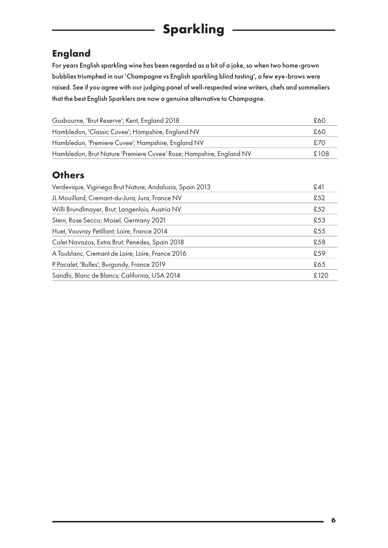## **Sparkling**

#### <span id="page-5-0"></span>**England**

For years English sparkling wine has been regarded as a bit of a joke, so when two home-grown bubblies triumphed in our 'Champagne vs English sparkling blind tasting', a few eye-brows were raised. See if you agree with our judging panel of well-respected wine writers, chefs and sommeliers that the best English Sparklers are now a genuine alternative to Champagne.

| Gusbourne, 'Brut Reserve'; Kent, England 2018                       | £60  |
|---------------------------------------------------------------------|------|
| Hambledon, 'Classic Cuvee'; Hampshire, England NV                   | £60  |
| Hambledon, 'Premiere Cuvee'; Hampshire, England NV                  | £70  |
| Hambledon, Brut Nature 'Premiere Cuvee' Rose; Hampshire, England NV | £108 |

#### **Others**

| Verdevique, Vigiriega Brut Nature; Andalusia, Spain 2013 | £41  |
|----------------------------------------------------------|------|
| JL Mouillard, Cremant-du-Jura; Jura, France NV           | £52  |
| Willi Brundlmayer, Brut; Langenlois, Austria NV          | £52  |
| Stein, Rose Secco; Mosel, Germany 2021                   | £53  |
| Huet, Vouvray Petillant; Loire, France 2014              | £55  |
| Colet Navazos, Extra Brut; Penedes, Spain 2018           | £58  |
| A Toublanc, Cremant de Loire; Loire, France 2016         | £59  |
| P Pacalet, 'Bulles'; Burgundy, France 2019               | £65  |
| Sandhi, Blanc de Blancs; California, USA 2014            | £120 |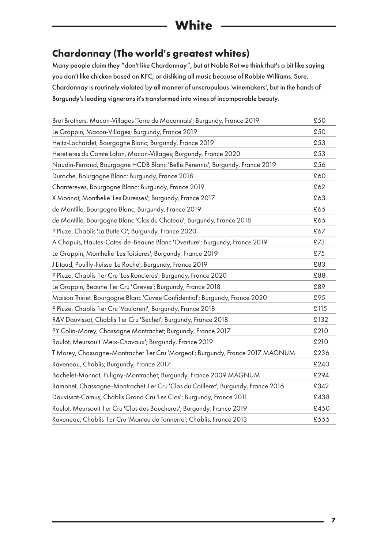## **White**

#### <span id="page-6-0"></span>**Chardonnay (The world's greatest whites)**

Many people claim they "don't like Chardonnay", but at Noble Rot we think that's a bit like saying you don't like chicken based on KFC, or disliking all music because of Robbie Williams. Sure, Chardonnay is routinely violated by all manner of unscrupulous 'winemakers', but in the hands of Burgundy's leading vignerons it's transformed into wines of incomparable beauty.

| Bret Brothers, Macon-Villages 'Terre du Maconnais'; Burgundy, France 2019         | £50  |
|-----------------------------------------------------------------------------------|------|
| Le Grappin, Macon-Villages; Burgundy, France 2019                                 | £50  |
| Heitz-Lochardet, Bourgogne Blanc; Burgundy, France 2019                           | £53  |
| Heretieres du Comte Lafon, Macon-Villages; Burgundy, France 2020                  | £53  |
| Naudin-Ferrand, Bourgogne HCDB Blanc 'Bellis Perennis'; Burgundy, France 2019     | £56  |
| Duroche, Bourgogne Blanc; Burgundy, France 2018                                   | £60  |
| Chantereves, Bourgogne Blanc; Burgundy, France 2019                               | £62  |
| X Monnot, Monthelie 'Les Duresses'; Burgundy, France 2017                         | £63  |
| de Montille, Bourgogne Blanc; Burgundy, France 2019                               | £65  |
| de Montille, Bourgogne Blanc 'Clos du Chateau'; Burgundy, France 2018             | £65  |
| P Piuze, Chablis 'La Butte O'; Burgundy, France 2020                              | £67  |
| A Chapuis, Hautes-Cotes-de-Beaune Blanc 'Overture'; Burgundy, France 2019         | £73  |
| Le Grappin, Monthelie 'Les Toisieres'; Burgundy, France 2019                      | £75  |
| J Litaud, Pouilly-Fuisse 'Le Roche'; Burgundy, France 2019                        | £83  |
| P Piuze, Chablis 1 er Cru 'Les Roncieres'; Burgundy, France 2020                  | £88  |
| Le Grappin, Beaune 1 er Cru 'Greves'; Burgundy, France 2018                       | £89  |
| Maison Thiriet, Bourgogne Blanc 'Cuvee Confidential'; Burgundy, France 2020       | £95  |
| P Piuze, Chablis 1 er Cru 'Vaulorent'; Burgundy, France 2018                      | £115 |
| R&V Dauvissat, Chablis 1 er Cru 'Sechet'; Burgundy, France 2018                   | £132 |
| PY Colin-Morey, Chassagne Montrachet; Burgundy, France 2017                       | £210 |
| Roulot, Meursault 'Meix-Chavaux'; Burgundy, France 2019                           | £210 |
| T Morey, Chassagne-Montrachet 1 er Cru 'Morgeot'; Burgundy, France 2017 MAGNUM    | £236 |
| Raveneau, Chablis; Burgundy, France 2017                                          | £240 |
| Bachelet-Monnot, Puligny-Montrachet; Burgundy, France 2009 MAGNUM                 | £294 |
| Ramonet, Chassagne-Montrachet 1 er Cru 'Clos du Cailleret'; Burgundy, France 2016 | £342 |
| Dauvissat-Camus; Chablis Grand Cru 'Les Clos'; Burgundy, France 2011              | £438 |
| Roulot, Meursault 1 er Cru 'Clos des Boucheres'; Burgundy, France 2019            | £450 |
| Raveneau, Chablis 1 er Cru 'Montee de Tonnerre'; Chablis, France 2013             | £555 |
|                                                                                   |      |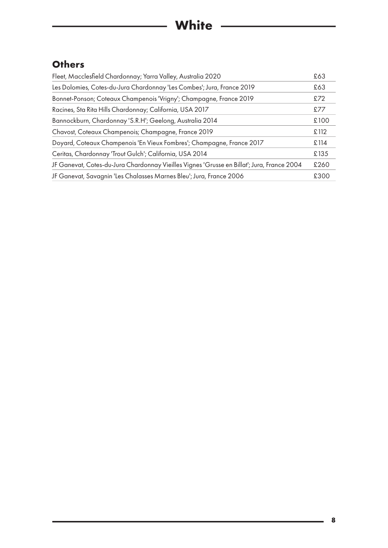### **Others**

| Fleet, Macclesfield Chardonnay; Yarra Valley, Australia 2020                               | £63  |
|--------------------------------------------------------------------------------------------|------|
| Les Dolomies, Cotes-du-Jura Chardonnay 'Les Combes'; Jura, France 2019                     | £63  |
| Bonnet-Ponson; Coteaux Champenois 'Vrigny'; Champagne, France 2019                         | £72  |
| Racines, Sta Rita Hills Chardonnay; California, USA 2017                                   | £77  |
| Bannockburn, Chardonnay 'S.R.H'; Geelong, Australia 2014                                   | £100 |
| Chavost, Coteaux Champenois; Champagne, France 2019                                        | £112 |
| Doyard, Coteaux Champenois 'En Vieux Fombres'; Champagne, France 2017                      | £114 |
| Ceritas, Chardonnay 'Trout Gulch'; California, USA 2014                                    | £135 |
| JF Ganevat, Cotes-du-Jura Chardonnay Vieilles Vignes 'Grusse en Billat'; Jura, France 2004 | £260 |
| JF Ganevat, Savagnin 'Les Chalasses Marnes Bleu'; Jura, France 2006                        | £300 |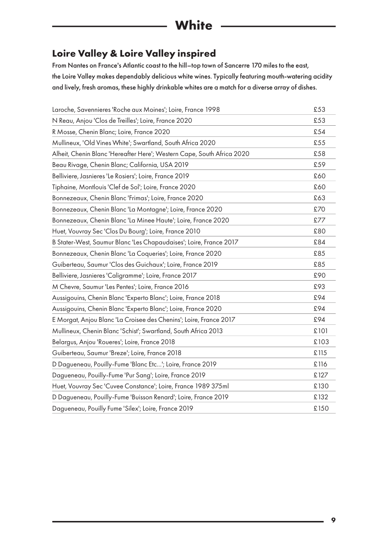## **White**

#### **Loire Valley & Loire Valley inspired**

From Nantes on France's Atlantic coast to the hill–top town of Sancerre 170 miles to the east, the Loire Valley makes dependably delicious white wines. Typically featuring mouth-watering acidity and lively, fresh aromas, these highly drinkable whites are a match for a diverse array of dishes.

| Laroche, Savennieres 'Roche aux Moines'; Loire, France 1998            | £53  |
|------------------------------------------------------------------------|------|
| N Reau, Anjou 'Clos de Treilles'; Loire, France 2020                   | £53  |
| R Mosse, Chenin Blanc; Loire, France 2020                              | £54  |
| Mullineux, 'Old Vines White'; Swartland, South Africa 2020             | £55  |
| Alheit, Chenin Blanc 'Hereafter Here'; Western Cape, South Africa 2020 | £58  |
| Beau Rivage, Chenin Blanc; California, USA 2019                        | £59  |
| Belliviere, Jasnieres 'Le Rosiers'; Loire, France 2019                 | £60  |
| Tiphaine, Montlouis 'Clef de Sol'; Loire, France 2020                  | £60  |
| Bonnezeaux, Chenin Blanc 'Frimas'; Loire, France 2020                  | £63  |
| Bonnezeaux, Chenin Blanc 'La Montagne'; Loire, France 2020             | £70  |
| Bonnezeaux, Chenin Blanc 'La Minee Haute'; Loire, France 2020          | £77  |
| Huet, Vouvray Sec 'Clos Du Bourg'; Loire, France 2010                  | £80  |
| B Stater-West, Saumur Blanc 'Les Chapaudaises'; Loire, France 2017     | £84  |
| Bonnezeaux, Chenin Blanc 'La Coqueries'; Loire, France 2020            | £85  |
| Guiberteau, Saumur 'Clos des Guichaux'; Loire, France 2019             | £85  |
| Belliviere, Jasnieres 'Caligramme'; Loire, France 2017                 | £90  |
| M Chevre, Saumur 'Les Pentes'; Loire, France 2016                      | £93  |
| Aussigouins, Chenin Blanc 'Experto Blanc'; Loire, France 2018          | £94  |
| Aussigouins, Chenin Blanc 'Experto Blanc'; Loire, France 2020          | £94  |
| E Morgat, Anjou Blanc 'La Croisee des Chenins'; Loire, France 2017     | £94  |
| Mullineux, Chenin Blanc 'Schist'; Swartland, South Africa 2013         | £101 |
| Belargus, Anjou 'Roueres'; Loire, France 2018                          | £103 |
| Guiberteau, Saumur 'Breze'; Loire, France 2018                         | £115 |
| D Dagueneau, Pouilly-Fume 'Blanc Etc'; Loire, France 2019              | £116 |
| Dagueneau, Pouilly-Fume 'Pur Sang'; Loire, France 2019                 | £127 |
| Huet, Vouvray Sec 'Cuvee Constance'; Loire, France 1989 375ml          | £130 |
| D Dagueneau, Pouilly-Fume 'Buisson Renard'; Loire, France 2019         | £132 |
| Dagueneau, Pouilly Fume 'Silex'; Loire, France 2019                    | £150 |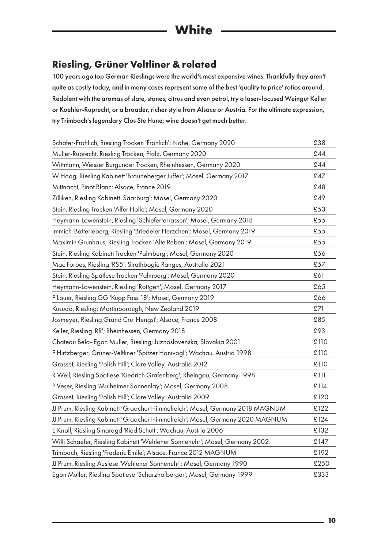#### <span id="page-9-0"></span>**Riesling, Grüner Veltliner & related**

100 years ago top German Rieslings were the world's most expensive wines. Thankfully they aren't quite as costly today, and in many cases represent some of the best 'quality to price' ratios around. Redolent with the aromas of slate, stones, citrus and even petrol, try a laser-focused Weingut Keller or Koehler-Ruprecht, or a broader, richer style from Alsace or Austria. For the ultimate expression, try Trimbach's legendary Clos Ste Hune; wine doesn't get much better.

| Schafer-Frohlich, Riesling Trocken 'Frohlich'; Nahe, Germany 2020             | £38  |
|-------------------------------------------------------------------------------|------|
| Muller-Ruprecht, Riesling Trocken; Pfalz, Germany 2020                        | £44  |
| Wittmann, Weisser Burgunder Trocken, Rheinhessen, Germany 2020                | £44  |
| W Haag, Riesling Kabinett 'Brauneberger Juffer'; Mosel, Germany 2017          | £47  |
| Mittnacht, Pinot Blanc; Alsace, France 2019                                   | £48  |
| Zilliken, Riesling Kabinett 'Saarburg'; Mosel, Germany 2020                   | £49  |
| Stein, Riesling Trocken 'Alfer Holle'; Mosel, Germany 2020                    | £53  |
| Heymann-Lowenstein, Riesling 'Schieferterrassen'; Mosel, Germany 2018         | £55  |
| Immich-Batterieberg, Riesling 'Briedeler Herzchen'; Mosel, Germany 2019       | £55  |
| Maximin Grunhaus, Riesling Trocken 'Alte Reben'; Mosel, Germany 2019          | £55  |
| Stein, Riesling Kabinett Trocken 'Palmberg'; Mosel, Germany 2020              | £56  |
| Mac Forbes, Riesling 'RS5'; Strathbogie Ranges, Australia 2021                | £57  |
| Stein, Riesling Spatlese Trocken 'Palmberg'; Mosel, Germany 2020              | £61  |
| Heymann-Lowenstein, Riesling 'Rottgen'; Mosel, Germany 2017                   | £65  |
| P Lauer, Riesling GG 'Kupp Fass 18'; Mosel, Germany 2019                      | £66  |
| Kusuda, Riesling; Martinborough, New Zealand 2019                             | £71  |
| Josmeyer, Riesling Grand Cru 'Hengst'; Alsace, France 2008                    | £85  |
| Keller, Riesling 'RR'; Rheinhessen, Germany 2018                              | £93  |
| Chateau Bela- Egon Muller, Riesling; Juznoslovenska, Slovakia 2001            | £110 |
| F Hirtzberger, Gruner-Veltliner 'Spitzer Honivogl'; Wachau, Austria 1998      | £110 |
| Grosset, Riesling 'Polish Hill'; Clare Valley, Australia 2012                 | £110 |
| R Weil, Riesling Spatlese 'Kiedrich Grafenberg'; Rheingau, Germany 1998       | £111 |
| P Veser, Riesling 'Mulheimer Sonnenlay'; Mosel, Germany 2008                  | £114 |
| Grosset, Riesling 'Polish Hill'; Clare Valley, Australia 2009                 | £120 |
| JJ Prum, Riesling Kabinett 'Graacher Himmelreich'; Mosel, Germany 2018 MAGNUM | £122 |
| JJ Prum, Riesling Kabinett 'Graacher Himmelreich'; Mosel, Germany 2020 MAGNUM | £124 |
| E Knoll, Riesling Smaragd 'Ried Schutt'; Wachau, Austria 2006                 | £132 |
| Willi Schaefer, Riesling Kabinett 'Wehlener Sonnenuhr'; Mosel, Germany 2002   | £147 |
| Trimbach, Riesling 'Frederic Emile'; Alsace, France 2012 MAGNUM               | £192 |
| JJ Prum, Riesling Auslese 'Wehlener Sonnenuhr'; Mosel, Germany 1990           | £250 |
| Egon Muller, Riesling Spatlese 'Scharzhofberger'; Mosel, Germany 1999         | £333 |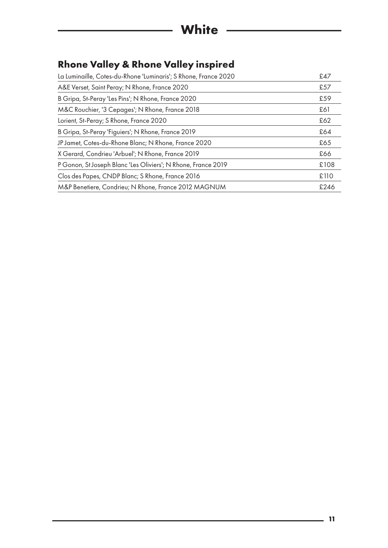### **Rhone Valley & Rhone Valley inspired**

| La Luminaille, Cotes-du-Rhone 'Luminaris'; S Rhone, France 2020 | £47  |
|-----------------------------------------------------------------|------|
| A&E Verset, Saint Peray; N Rhone, France 2020                   | £57  |
| B Gripa, St-Peray 'Les Pins'; N Rhone, France 2020              | £59  |
| M&C Rouchier, '3 Cepages'; N Rhone, France 2018                 | £61  |
| Lorient, St-Peray; S Rhone, France 2020                         | £62  |
| B Gripa, St-Peray 'Figuiers'; N Rhone, France 2019              | £64  |
| JP Jamet, Cotes-du-Rhone Blanc; N Rhone, France 2020            | £65  |
| X Gerard, Condrieu 'Arbuel'; N Rhone, France 2019               | £66  |
| P Gonon, St Joseph Blanc 'Les Oliviers'; N Rhone, France 2019   | £108 |
| Clos des Papes, CNDP Blanc; S Rhone, France 2016                | £110 |
| M&P Benetiere, Condrieu; N Rhone, France 2012 MAGNUM            | £246 |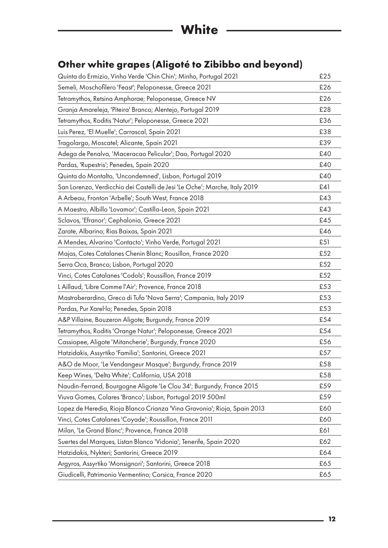### <span id="page-11-0"></span>**Other white grapes (Aligoté to Zibibbo and beyond)**

| Quinta do Ermizio, Vinho Verde 'Chin Chin'; Minho, Portugal 2021           | £25 |
|----------------------------------------------------------------------------|-----|
| Semeli, Moschofilero 'Feast'; Peloponesse, Greece 2021                     | £26 |
| Tetramythos, Retsina Amphorae; Peloponesse, Greece NV                      | £26 |
| Granja Amareleja, 'Piteira' Branco; Alentejo, Portugal 2019                | £28 |
| Tetramythos, Roditis 'Natur'; Peloponesse, Greece 2021                     | £36 |
| Luis Perez, 'El Muelle'; Carrascal, Spain 2021                             | £38 |
| Tragolargo, Moscatel; Alicante, Spain 2021                                 | £39 |
| Adega de Penalva, 'Maceracao Pelicular'; Dao, Portugal 2020                | £40 |
| Pardas, 'Rupestris'; Penedes, Spain 2020                                   | £40 |
| Quinta do Montalto, 'Uncondemned', Lisbon, Portugal 2019                   | £40 |
| San Lorenzo, Verdicchio dei Castelli de Jesi 'Le Oche'; Marche, Italy 2019 | £41 |
| A Arbeau, Fronton 'Arbelle'; South West, France 2018                       | £43 |
| A Maestro, Albillo 'Lovamor'; Castilla-Leon, Spain 2021                    | £43 |
| Sclavos, 'Efranor'; Cephalonia, Greece 2021                                | £45 |
| Zarate, Albarino; Rias Baixas, Spain 2021                                  | £46 |
| A Mendes, Alvarino 'Contacto'; Vinho Verde, Portugal 2021                  | £51 |
| Majas, Cotes Catalanes Chenin Blanc; Rousillon, France 2020                | £52 |
| Serra Oca, Branco; Lisbon, Portugal 2020                                   | £52 |
| Vinci, Cotes Catalanes 'Codols'; Roussillon, France 2019                   | £52 |
| L Aillaud, 'Libre Comme l'Air'; Provence, France 2018                      | £53 |
| Mastroberardino, Greco di Tufo 'Nova Serra'; Campania, Italy 2019          | £53 |
| Pardas, Pur Xarel·lo; Penedes, Spain 2018                                  | £53 |
| A&P Villaine, Bouzeron Aligote; Burgundy, France 2019                      | £54 |
| Tetramythos, Roditis 'Orange Natur'; Peloponesse, Greece 2021              | £54 |
| Cassiopee, Aligote 'Mitancherie'; Burgundy, France 2020                    | £56 |
| Hatzidakis, Assyrtiko 'Familia'; Santorini, Greece 2021                    | £57 |
| A&O de Moor, 'Le Vendangeur Masque'; Burgundy, France 2019                 | £58 |
| Keep Wines, 'Delta White'; California, USA 2018                            | £58 |
| Naudin-Ferrand, Bourgogne Aligote 'Le Clou 34'; Burgundy, France 2015      | £59 |
| Viuva Gomes, Colares 'Branco'; Lisbon, Portugal 2019 500ml                 | £59 |
| Lopez de Heredia, Rioja Blanco Crianza 'Vina Gravonia'; Rioja, Spain 2013  | £60 |
| Vinci, Cotes Catalanes 'Coyade'; Roussillon, France 2011                   | £60 |
| Milan, 'Le Grand Blanc'; Provence, France 2018                             | £61 |
| Suertes del Marques, Listan Blanco 'Vidonia'; Tenerife, Spain 2020         | £62 |
| Hatzidakis, Nykteri; Santorini, Greece 2019                                | £64 |
| Argyros, Assyrtiko 'Monsignori'; Santorini, Greece 2018                    | £65 |
| Giudicelli, Patrimonio Vermentino; Corsica, France 2020                    | £65 |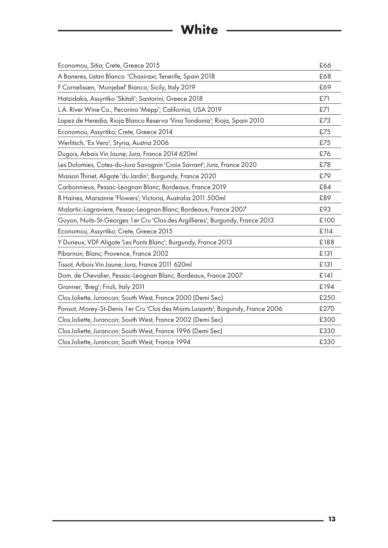# **White**

| Economou, Sitia; Crete, Greece 2015                                              | £66  |
|----------------------------------------------------------------------------------|------|
| A Baneres, Listan Blanco 'Chaxiraxi; Tenerife, Spain 2018                        | £68  |
| F Cornelissen, 'Munjebel' Bianco; Sicily, Italy 2019                             | £69  |
| Hatzidakis, Assyrtiko 'Skitali'; Santorini, Greece 2018                          | £71  |
| L.A. River Wine Co., Pecorino 'Mepp'; California, USA 2019                       | £71  |
| Lopez de Heredia, Rioja Blanco Reserva 'Vina Tondonia'; Rioja, Spain 2010        | £73  |
| Economou, Assyrtiko; Crete, Greece 2014                                          | £75  |
| Werlitsch, 'Ex Vero'; Styria, Austria 2006                                       | £75  |
| Dugois, Arbois Vin Jaune; Jura, France 2014 620ml                                | £76  |
| Les Dolomies, Cotes-du-Jura Savagnin 'Croix Sarrant'; Jura, France 2020          | £78  |
| Maison Thiriet, Aligote 'du Jardin'; Burgundy, France 2020                       | £79  |
| Carbonnieux, Pessac-Leognan Blanc; Bordeaux, France 2019                         | £84  |
| B Haines, Marsanne 'Flowers'; Victoria, Australia 2011 500ml                     | £89  |
| Malartic-Lagraviere, Pessac-Leognan Blanc; Bordeaux, France 2007                 | £93  |
| Guyon, Nuits-St-Georges 1 er Cru 'Clos des Argillieres'; Burgundy, France 2013   | £100 |
| Economou, Assyrtiko; Crete, Greece 2015                                          | £114 |
| Y Durieux, VDF Aligote 'Les Ponts Blanc'; Burgundy, France 2013                  | £188 |
| Pibarnon, Blanc; Provence, France 2002                                           | £131 |
| Tissot, Arbois Vin Jaune; Jura, France 2011 620ml                                | £131 |
| Dom. de Chevalier, Pessac-Leognan Blanc; Bordeaux, France 2007                   | £141 |
| Gravner, 'Breg'; Friuli, Italy 2011                                              | £194 |
| Clos Joliette, Jurancon; South West, France 2000 (Demi Sec)                      | £250 |
| Ponsot, Morey-St-Denis 1 er Cru 'Clos des Monts Luisants'; Burgundy, France 2006 | £270 |
| Clos Joliette, Jurancon; South West, France 2002 (Demi Sec)                      | £300 |
| Clos Joliette, Jurancon; South West, France 1996 (Demi Sec)                      | £330 |
| Clos Joliette, Jurancon; South West, France 1994                                 | £330 |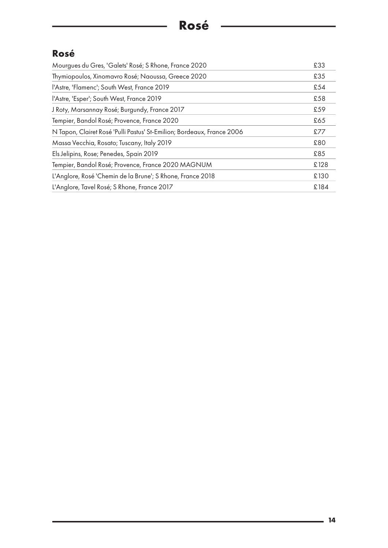<u> 1980 - Johann Barbara, martxa a</u>

#### **Rosé**

| Mourgues du Gres, 'Galets' Rosé; S Rhone, France 2020                  | £33  |
|------------------------------------------------------------------------|------|
| Thymiopoulos, Xinomavro Rosé; Naoussa, Greece 2020                     | £35  |
| l'Astre, 'Flamenc'; South West, France 2019                            | £54  |
| l'Astre, 'Esper'; South West, France 2019                              | £58  |
| J Roty, Marsannay Rosé; Burgundy, France 2017                          | £59  |
| Tempier, Bandol Rosé; Provence, France 2020                            | £65  |
| N Tapon, Clairet Rosé 'Pulli Pastus' St-Emilion; Bordeaux, France 2006 | £77  |
| Massa Vecchia, Rosato; Tuscany, Italy 2019                             | £80  |
| Els Jelipins, Rose; Penedes, Spain 2019                                | £85  |
| Tempier, Bandol Rosé; Provence, France 2020 MAGNUM                     | £128 |
| L'Anglore, Rosé 'Chemin de la Brune'; S Rhone, France 2018             | £130 |
| L'Anglore, Tavel Rosé; S Rhone, France 2017                            | £184 |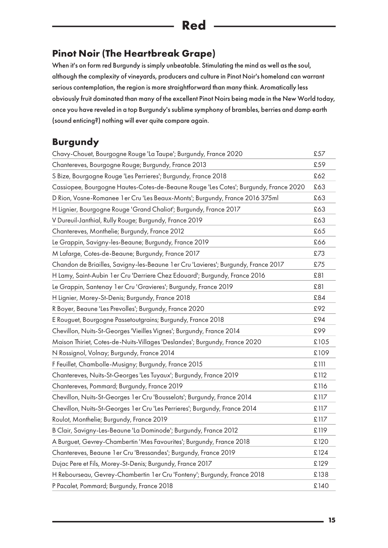#### <span id="page-14-1"></span><span id="page-14-0"></span>**Pinot Noir (The Heartbreak Grape)**

When it's on form red Burgundy is simply unbeatable. Stimulating the mind as well as the soul, although the complexity of vineyards, producers and culture in Pinot Noir's homeland can warrant serious contemplation, the region is more straightforward than many think. Aromatically less obviously fruit dominated than many of the excellent Pinot Noirs being made in the New World today, once you have reveled in a top Burgundy's sublime symphony of brambles, berries and damp earth (sound enticing?) nothing will ever quite compare again.

#### **Burgundy**

| Chavy-Chouet, Bourgogne Rouge 'La Taupe'; Burgundy, France 2020                      | £57  |
|--------------------------------------------------------------------------------------|------|
| Chantereves, Bourgogne Rouge; Burgundy, France 2013                                  | £59  |
| S Bize, Bourgogne Rouge 'Les Perrieres'; Burgundy, France 2018                       | £62  |
| Cassiopee, Bourgogne Hautes-Cotes-de-Beaune Rouge 'Les Cotes'; Burgundy, France 2020 | £63  |
| D Rion, Vosne-Romanee 1 er Cru 'Les Beaux-Monts'; Burgundy, France 2016 375ml        | £63  |
| H Lignier, Bourgogne Rouge 'Grand Chaliot'; Burgundy, France 2017                    | £63  |
| V Dureuil-Janthial, Rully Rouge; Burgundy, France 2019                               | £63  |
| Chantereves, Monthelie; Burgundy, France 2012                                        | £65  |
| Le Grappin, Savigny-les-Beaune; Burgundy, France 2019                                | £66  |
| M Lafarge, Cotes-de-Beaune; Burgundy, France 2017                                    | £73  |
| Chandon de Briailles, Savigny-les-Beaune 1 er Cru 'Lavieres'; Burgundy, France 2017  | £75  |
| H Lamy, Saint-Aubin 1er Cru 'Derriere Chez Edouard'; Burgundy, France 2016           | £81  |
| Le Grappin, Santenay 1 er Cru 'Gravieres'; Burgundy, France 2019                     | £81  |
| H Lignier, Morey-St-Denis; Burgundy, France 2018                                     | £84  |
| R Boyer, Beaune 'Les Prevolles'; Burgundy, France 2020                               | £92  |
| E Rouguet, Bourgogne Passetoutgrains; Burgundy, France 2018                          | £94  |
| Chevillon, Nuits-St-Georges 'Vieilles Vignes'; Burgundy, France 2014                 | £99  |
| Maison Thiriet, Cotes-de-Nuits-Villages 'Deslandes'; Burgundy, France 2020           | £105 |
| N Rossignol, Volnay; Burgundy, France 2014                                           | £109 |
| F Feuillet, Chambolle-Musigny; Burgundy, France 2015                                 | £111 |
| Chantereves, Nuits-St-Georges 'Les Tuyaux'; Burgundy, France 2019                    | £112 |
| Chantereves, Pommard; Burgundy, France 2019                                          | £116 |
| Chevillon, Nuits-St-Georges 1 er Cru 'Bousselots'; Burgundy, France 2014             | £117 |
| Chevillon, Nuits-St-Georges 1 er Cru 'Les Perrieres'; Burgundy, France 2014          | £117 |
| Roulot, Monthelie; Burgundy, France 2019                                             | £117 |
| B Clair, Savigny-Les-Beaune 'La Dominode'; Burgundy, France 2012                     | £119 |
| A Burguet, Gevrey-Chambertin 'Mes Favourites'; Burgundy, France 2018                 | £120 |
| Chantereves, Beaune 1 er Cru 'Bressandes'; Burgundy, France 2019                     | £124 |
| Dujac Pere et Fils, Morey-St-Denis; Burgundy, France 2017                            | £129 |
| H Rebourseau, Gevrey-Chambertin 1 er Cru 'Fonteny'; Burgundy, France 2018            | £138 |
| P Pacalet, Pommard; Burgundy, France 2018                                            | £140 |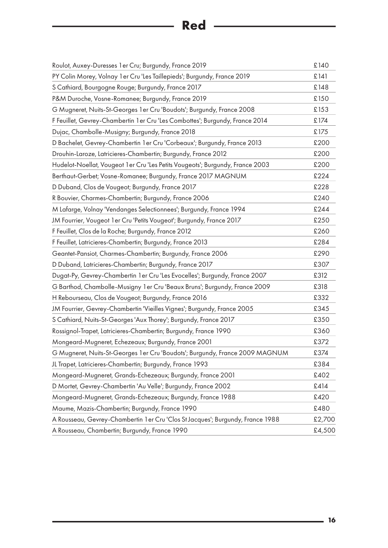## **Red** 2008 2009 2012 2022 2023 2024 2025 2026 2027 2027 2028 2027 2028 2027 2028 2027 2028 2029 2027 2028 2029 2027 2028 2029 2029 2029 2027 2028 2029 2027 2028 2029 2029 2027 2028 2029 2029 2027 2028 2029 2027 2028 2029 2

| Roulot, Auxey-Duresses 1 er Cru; Burgundy, France 2019                         | £140   |
|--------------------------------------------------------------------------------|--------|
| PY Colin Morey, Volnay 1er Cru 'Les Taillepieds'; Burgundy, France 2019        | £141   |
| S Cathiard, Bourgogne Rouge; Burgundy, France 2017                             | £148   |
| P&M Duroche, Vosne-Romanee; Burgundy, France 2019                              | £150   |
| G Mugneret, Nuits-St-Georges 1 er Cru 'Boudots'; Burgundy, France 2008         | £153   |
| F Feuillet, Gevrey-Chambertin 1 er Cru 'Les Combottes'; Burgundy, France 2014  | £174   |
| Dujac, Chambolle-Musigny; Burgundy, France 2018                                | £175   |
| D Bachelet, Gevrey-Chambertin 1er Cru 'Corbeaux'; Burgundy, France 2013        | £200   |
| Drouhin-Laroze, Latricieres-Chambertin; Burgundy, France 2012                  | £200   |
| Hudelot-Noellat, Vougeot 1 er Cru 'Les Petits Vougeots'; Burgundy, France 2003 | £200   |
| Berthaut-Gerbet; Vosne-Romanee; Burgundy, France 2017 MAGNUM                   | £224   |
| D Duband, Clos de Vougeot; Burgundy, France 2017                               | £228   |
| R Bouvier, Charmes-Chambertin; Burgundy, France 2006                           | £240   |
| M Lafarge, Volnay 'Vendanges Selectionnees'; Burgundy, France 1994             | £244   |
| JM Fourrier, Vougeot 1 er Cru 'Petits Vougeot'; Burgundy, France 2017          | £250   |
| F Feuillet, Clos de la Roche; Burgundy, France 2012                            | £260   |
| F Feuillet, Latricieres-Chambertin; Burgundy, France 2013                      | £284   |
| Geantet-Pansiot, Charmes-Chambertin; Burgundy, France 2006                     | £290   |
| D Duband, Latricieres-Chambertin; Burgundy, France 2017                        | £307   |
| Dugat-Py, Gevrey-Chambertin 1 er Cru 'Les Evocelles'; Burgundy, France 2007    | £312   |
| G Barthod, Chambolle-Musigny 1 er Cru 'Beaux Bruns'; Burgundy, France 2009     | £318   |
| H Rebourseau, Clos de Vougeot; Burgundy, France 2016                           | £332   |
| JM Fourrier, Gevrey-Chambertin 'Vieilles Vignes'; Burgundy, France 2005        | £345   |
| S Cathiard, Nuits-St-Georges 'Aux Thorey'; Burgundy, France 2017               | £350   |
| Rossignol-Trapet, Latricieres-Chambertin; Burgundy, France 1990                | £360   |
| Mongeard-Mugneret, Echezeaux; Burgundy, France 2001                            | £372   |
| G Mugneret, Nuits-St-Georges 1 er Cru 'Boudots'; Burgundy, France 2009 MAGNUM  | £374   |
| JL Trapet, Latricieres-Chambertin; Burgundy, France 1993                       | £384   |
| Mongeard-Mugneret, Grands-Echezeaux; Burgundy, France 2001                     | £402   |
| D Mortet, Gevrey-Chambertin 'Au Velle'; Burgundy, France 2002                  | £414   |
| Mongeard-Mugneret, Grands-Echezeaux; Burgundy, France 1988                     | £420   |
| Maume, Mazis-Chambertin; Burgundy, France 1990                                 | £480   |
| A Rousseau, Gevrey-Chambertin 1er Cru 'Clos St Jacques'; Burgundy, France 1988 | £2,700 |
| A Rousseau, Chambertin; Burgundy, France 1990                                  | £4,500 |
|                                                                                |        |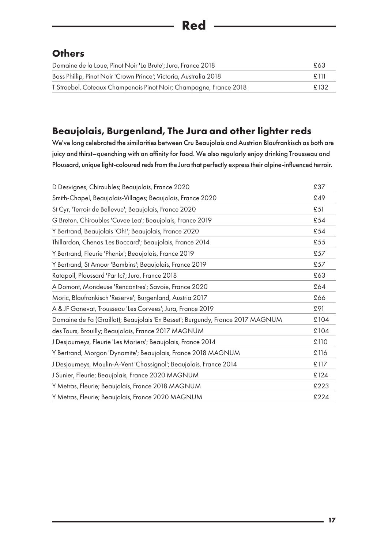#### **Others**

| Domaine de la Loue, Pinot Noir 'La Brute'; Jura, France 2018      | £63      |
|-------------------------------------------------------------------|----------|
| Bass Phillip, Pinot Noir 'Crown Prince'; Victoria, Australia 2018 | - F. 111 |
| T Stroebel, Coteaux Champenois Pinot Noir; Champagne, France 2018 | £132     |

#### <span id="page-16-0"></span>**Beaujolais, Burgenland, The Jura and other lighter reds**

We've long celebrated the similarities between Cru Beaujolais and Austrian Blaufrankisch as both are juicy and thirst–quenching with an affinity for food. We also regularly enjoy drinking Trousseau and Ploussard, unique light-coloured reds from the Jura that perfectly express their alpine-influenced terroir.

| D Desvignes, Chiroubles; Beaujolais, France 2020                               | £37  |
|--------------------------------------------------------------------------------|------|
| Smith-Chapel, Beaujolais-Villages; Beaujolais, France 2020                     | £49  |
| St Cyr, 'Terroir de Bellevue'; Beaujolais, France 2020                         | £51  |
| G Breton, Chiroubles 'Cuvee Lea'; Beaujolais, France 2019                      | £54  |
| Y Bertrand, Beaujolais 'Oh!'; Beaujolais, France 2020                          | £54  |
| Thillardon, Chenas 'Les Boccard'; Beaujolais, France 2014                      | £55  |
| Y Bertrand, Fleurie 'Phenix'; Beaujolais, France 2019                          | £57  |
| Y Bertrand, St Amour 'Bambins'; Beaujolais, France 2019                        | £57  |
| Ratapoil, Ploussard 'Par Ici'; Jura, France 2018                               | £63  |
| A Domont, Mondeuse 'Rencontres'; Savoie, France 2020                           | £64  |
| Moric, Blaufrankisch 'Reserve'; Burgenland, Austria 2017                       | £66  |
| A & JF Ganevat, Trousseau 'Les Corvees'; Jura, France 2019                     | £91  |
| Domaine de Fa (Graillot); Beaujolais 'En Besset'; Burgundy, France 2017 MAGNUM | £104 |
| des Tours, Brouilly; Beaujolais, France 2017 MAGNUM                            | £104 |
| J Desjourneys, Fleurie 'Les Moriers'; Beaujolais, France 2014                  | £110 |
| Y Bertrand, Morgon 'Dynamite'; Beaujolais, France 2018 MAGNUM                  | £116 |
| J Desjourneys, Moulin-A-Vent 'Chassignol'; Beaujolais, France 2014             | £117 |
| J Sunier, Fleurie; Beaujolais, France 2020 MAGNUM                              | £124 |
| Y Metras, Fleurie; Beaujolais, France 2018 MAGNUM                              | £223 |
| Y Metras, Fleurie; Beaujolais, France 2020 MAGNUM                              | £224 |
|                                                                                |      |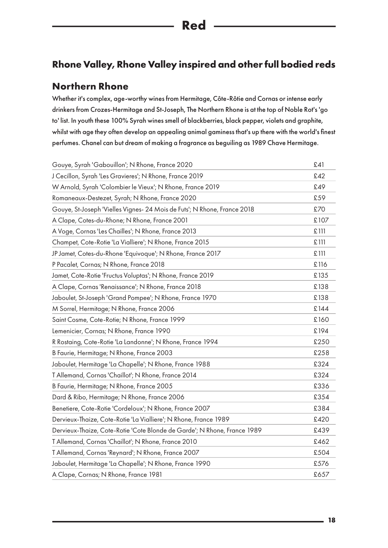#### <span id="page-17-0"></span>**Rhone Valley, Rhone Valley inspired and other full bodied reds**

#### **Northern Rhone**

Whether it's complex, age-worthy wines from Hermitage, Côte-Rôtie and Cornas or intense early drinkers from Crozes-Hermitage and St-Joseph, The Northern Rhone is at the top of Noble Rot's 'go to' list. In youth these 100% Syrah wines smell of blackberries, black pepper, violets and graphite, whilst with age they often develop an appealing animal gaminess that's up there with the world's finest perfumes. Chanel can but dream of making a fragrance as beguiling as 1989 Chave Hermitage.

| Gouye, Syrah 'Gabouillon'; N Rhone, France 2020                          | £41  |
|--------------------------------------------------------------------------|------|
| J Cecillon, Syrah 'Les Gravieres'; N Rhone, France 2019                  | £42  |
| W Arnold, Syrah 'Colombier le Vieux'; N Rhone, France 2019               | £49  |
| Romaneaux-Destezet, Syrah; N Rhone, France 2020                          | £59  |
| Gouye, St-Joseph 'Vielles Vignes- 24 Mois de Futs'; N Rhone, France 2018 | £70  |
| A Clape, Cotes-du-Rhone; N Rhone, France 2001                            | £107 |
| A Voge, Cornas 'Les Chailles'; N Rhone, France 2013                      | £111 |
| Champet, Cote-Rotie 'La Vialliere'; N Rhone, France 2015                 | £111 |
| JP Jamet, Cotes-du-Rhone 'Equivoque'; N Rhone, France 2017               | £111 |
| P Pacalet, Cornas; N Rhone, France 2018                                  | £116 |
| Jamet, Cote-Rotie 'Fructus Voluptas'; N Rhone, France 2019               | £135 |
| A Clape, Cornas 'Renaissance'; N Rhone, France 2018                      | £138 |
| Jaboulet, St-Joseph 'Grand Pompee'; N Rhone, France 1970                 | £138 |
| M Sorrel, Hermitage; N Rhone, France 2006                                | £144 |
| Saint Cosme, Cote-Rotie; N Rhone, France 1999                            | £160 |
| Lemenicier, Cornas; N Rhone, France 1990                                 | £194 |
| R Rostaing, Cote-Rotie 'La Landonne'; N Rhone, France 1994               | £250 |
| B Faurie, Hermitage; N Rhone, France 2003                                | £258 |
| Jaboulet, Hermitage 'La Chapelle'; N Rhone, France 1988                  | £324 |
| T Allemand, Cornas 'Chaillot'; N Rhone, France 2014                      | £324 |
| B Faurie, Hermitage; N Rhone, France 2005                                | £336 |
| Dard & Ribo, Hermitage; N Rhone, France 2006                             | £354 |
| Benetiere, Cote-Rotie 'Cordeloux'; N Rhone, France 2007                  | £384 |
| Dervieux-Thaize, Cote-Rotie 'La Vialliere'; N Rhone, France 1989         | £420 |
| Dervieux-Thaize, Cote-Rotie 'Cote Blonde de Garde'; N Rhone, France 1989 | £439 |
| T Allemand, Cornas 'Chaillot'; N Rhone, France 2010                      | £462 |
| T Allemand, Cornas 'Reynard'; N Rhone, France 2007                       | £504 |
| Jaboulet, Hermitage 'La Chapelle'; N Rhone, France 1990                  | £576 |
| A Clape, Cornas; N Rhone, France 1981                                    | £657 |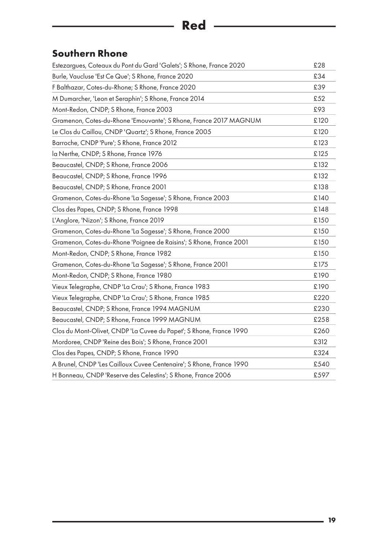## **Red** ————————————————————

#### <span id="page-18-0"></span>**Southern Rhone**

| Estezargues, Coteaux du Pont du Gard 'Galets'; S Rhone, France 2020  | £28  |
|----------------------------------------------------------------------|------|
| Burle, Vaucluse 'Est Ce Que'; S Rhone, France 2020                   | £34  |
| F Balthazar, Cotes-du-Rhone; S Rhone, France 2020                    | £39  |
| M Dumarcher, 'Leon et Seraphin'; S Rhone, France 2014                | £52  |
| Mont-Redon, CNDP; S Rhone, France 2003                               | £93  |
| Gramenon, Cotes-du-Rhone 'Emouvante'; S Rhone, France 2017 MAGNUM    | £120 |
| Le Clos du Caillou, CNDP 'Quartz'; S Rhone, France 2005              | £120 |
| Barroche, CNDP 'Pure'; S Rhone, France 2012                          | £123 |
| la Nerthe, CNDP; S Rhone, France 1976                                | £125 |
| Beaucastel, CNDP; S Rhone, France 2006                               | £132 |
| Beaucastel, CNDP; S Rhone, France 1996                               | £132 |
| Beaucastel, CNDP; S Rhone, France 2001                               | £138 |
| Gramenon, Cotes-du-Rhone 'La Sagesse'; S Rhone, France 2003          | £140 |
| Clos des Papes, CNDP; S Rhone, France 1998                           | £148 |
| L'Anglore, 'Nizon'; S Rhone, France 2019                             | £150 |
| Gramenon, Cotes-du-Rhone 'La Sagesse'; S Rhone, France 2000          | £150 |
| Gramenon, Cotes-du-Rhone 'Poignee de Raisins'; S Rhone, France 2001  | £150 |
| Mont-Redon, CNDP; S Rhone, France 1982                               | £150 |
| Gramenon, Cotes-du-Rhone 'La Sagesse'; S Rhone, France 2001          | £175 |
| Mont-Redon, CNDP; S Rhone, France 1980                               | £190 |
| Vieux Telegraphe, CNDP 'La Crau'; S Rhone, France 1983               | £190 |
| Vieux Telegraphe, CNDP 'La Crau'; S Rhone, France 1985               | £220 |
| Beaucastel, CNDP; S Rhone, France 1994 MAGNUM                        | £230 |
| Beaucastel, CNDP; S Rhone, France 1999 MAGNUM                        | £258 |
| Clos du Mont-Olivet, CNDP 'La Cuvee du Papet'; S Rhone, France 1990  | £260 |
| Mordoree, CNDP 'Reine des Bois'; S Rhone, France 2001                | £312 |
| Clos des Papes, CNDP; S Rhone, France 1990                           | £324 |
| A Brunel, CNDP 'Les Cailloux Cuvee Centenaire'; S Rhone, France 1990 | £540 |
| H Bonneau, CNDP 'Reserve des Celestins'; S Rhone, France 2006        | £597 |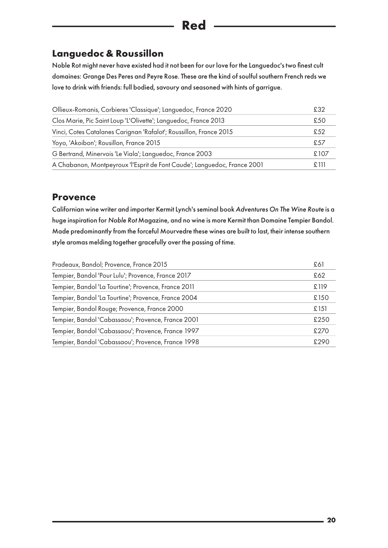#### **Languedoc & Roussillon**

Noble Rot might never have existed had it not been for our love for the Languedoc's two finest cult domaines: Grange Des Peres and Peyre Rose. These are the kind of soulful southern French reds we love to drink with friends: full bodied, savoury and seasoned with hints of garrigue.

| Ollieux-Romanis, Corbieres 'Classique'; Languedoc, France 2020           | £32   |
|--------------------------------------------------------------------------|-------|
| Clos Marie, Pic Saint Loup 'L'Olivette'; Languedoc, France 2013          | £50   |
| Vinci, Cotes Catalanes Carignan 'Rafalot'; Roussillon, France 2015       | £.52  |
| Yoyo, 'Akoibon'; Rousillon, France 2015                                  | £57   |
| G Bertrand, Minervois 'Le Viala'; Languedoc, France 2003                 | £107  |
| A Chabanon, Montpeyroux 'l'Esprit de Font Caude'; Languedoc, France 2001 | £ 111 |

#### **Provence**

Californian wine writer and importer Kermit Lynch's seminal book *Adventures On The Wine Route* is a huge inspiration for *Noble Rot* Magazine, and no wine is more Kermit than Domaine Tempier Bandol. Made predominantly from the forceful Mourvedre these wines are built to last, their intense southern style aromas melding together gracefully over the passing of time.

| Pradeaux, Bandol; Provence, France 2015              | £61  |
|------------------------------------------------------|------|
| Tempier, Bandol 'Pour Lulu'; Provence, France 2017   | £62  |
| Tempier, Bandol 'La Tourtine'; Provence, France 2011 | £119 |
| Tempier, Bandol 'La Tourtine'; Provence, France 2004 | £150 |
| Tempier, Bandol Rouge; Provence, France 2000         | £151 |
| Tempier, Bandol 'Cabassaou'; Provence, France 2001   | £250 |
| Tempier, Bandol 'Cabassaou'; Provence, France 1997   | £270 |
| Tempier, Bandol 'Cabassaou'; Provence, France 1998   | £290 |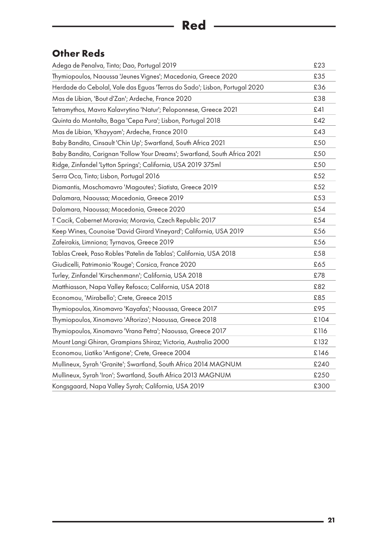#### **Other Reds**

| Adega de Penalva, Tinto; Dao, Portugal 2019                                | £23  |
|----------------------------------------------------------------------------|------|
| Thymiopoulos, Naoussa 'Jeunes Vignes'; Macedonia, Greece 2020              | £35  |
| Herdade do Cebolal, Vale das Eguas 'Terras do Sado'; Lisbon, Portugal 2020 | £36  |
| Mas de Libian, 'Bout d'Zan'; Ardeche, France 2020                          | £38  |
| Tetramythos, Mavro Kalavrytino 'Natur'; Peloponnese, Greece 2021           | £41  |
| Quinta do Montalto, Baga 'Cepa Pura'; Lisbon, Portugal 2018                | £42  |
| Mas de Libian, 'Khayyam'; Ardeche, France 2010                             | £43  |
| Baby Bandito, Cinsault 'Chin Up'; Swartland, South Africa 2021             | £50  |
| Baby Bandito, Carignan 'Follow Your Dreams'; Swartland, South Africa 2021  | £50  |
| Ridge, Zinfandel 'Lytton Springs'; California, USA 2019 375ml              | £50  |
| Serra Oca, Tinto; Lisbon, Portugal 2016                                    | £52  |
| Diamantis, Moschomavro 'Magoutes'; Siatista, Greece 2019                   | £52  |
| Dalamara, Naoussa; Macedonia, Greece 2019                                  | £53  |
| Dalamara, Naoussa; Macedonia, Greece 2020                                  | £54  |
| T Cacik, Cabernet Moravia; Moravia, Czech Republic 2017                    | £54  |
| Keep Wines, Counoise 'David Girard Vineyard'; California, USA 2019         | £56  |
| Zafeirakis, Limniona; Tyrnavos, Greece 2019                                | £56  |
| Tablas Creek, Paso Robles 'Patelin de Tablas'; California, USA 2018        | £58  |
| Giudicelli, Patrimonio 'Rouge'; Corsica, France 2020                       | £65  |
| Turley, Zinfandel 'Kirschenmann'; California, USA 2018                     | £78  |
| Matthiasson, Napa Valley Refosco; California, USA 2018                     | £82  |
| Economou, 'Mirabello'; Crete, Greece 2015                                  | £85  |
| Thymiopoulos, Xinomavro 'Kayafas'; Naoussa, Greece 2017                    | £95  |
| Thymiopoulos, Xinomavro 'Aftorizo'; Naoussa, Greece 2018                   | £104 |
| Thymiopoulos, Xinomavro 'Vrana Petra'; Naoussa, Greece 2017                | £116 |
| Mount Langi Ghiran, Grampians Shiraz; Victoria, Australia 2000             | £132 |
| Economou, Liatiko 'Antigone'; Crete, Greece 2004                           | £146 |
| Mullineux, Syrah 'Granite'; Swartland, South Africa 2014 MAGNUM            | £240 |
| Mullineux, Syrah 'Iron'; Swartland, South Africa 2013 MAGNUM               | £250 |
| Kongsgaard, Napa Valley Syrah; California, USA 2019                        | £300 |
|                                                                            |      |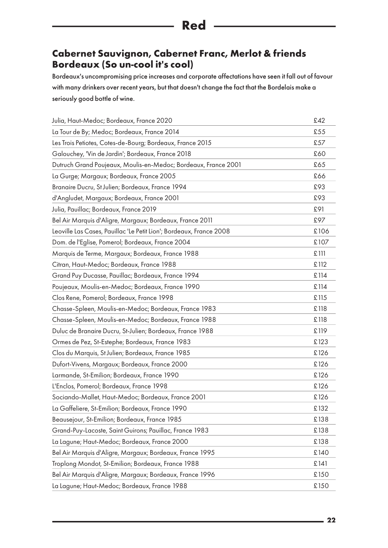#### **Cabernet Sauvignon, Cabernet Franc, Merlot & friends Bordeaux (So un-cool it's cool)**

Bordeaux's uncompromising price increases and corporate affectations have seen it fall out of favour with many drinkers over recent years, but that doesn't change the fact that the Bordelais make a seriously good bottle of wine.

| Julia, Haut-Medoc; Bordeaux, France 2020                            | £42  |
|---------------------------------------------------------------------|------|
| La Tour de By; Medoc; Bordeaux, France 2014                         | £55  |
| Les Trois Petiotes, Cotes-de-Bourg; Bordeaux, France 2015           | £57  |
| Galouchey, 'Vin de Jardin'; Bordeaux, France 2018                   | £60  |
| Dutruch Grand Poujeaux, Moulis-en-Medoc; Bordeaux, France 2001      | £65  |
| La Gurge; Margaux; Bordeaux, France 2005                            | £66  |
| Branaire Ducru, St Julien; Bordeaux, France 1994                    | £93  |
| d'Angludet, Margaux; Bordeaux, France 2001                          | £93  |
| Julia, Pauillac; Bordeaux, France 2019                              | £91  |
| Bel Air Marquis d'Aligre, Margaux; Bordeaux, France 2011            | £97  |
| Leoville Las Cases, Pauillac 'Le Petit Lion'; Bordeaux, France 2008 | £106 |
| Dom. de l'Eglise, Pomerol; Bordeaux, France 2004                    | £107 |
| Marquis de Terme, Margaux; Bordeaux, France 1988                    | £111 |
| Citran, Haut-Medoc; Bordeaux, France 1988                           | £112 |
| Grand Puy Ducasse, Pauillac; Bordeaux, France 1994                  | £114 |
| Poujeaux, Moulis-en-Medoc; Bordeaux, France 1990                    | £114 |
| Clos Rene, Pomerol; Bordeaux, France 1998                           | £115 |
| Chasse-Spleen, Moulis-en-Medoc; Bordeaux, France 1983               | £118 |
| Chasse-Spleen, Moulis-en-Medoc; Bordeaux, France 1988               | £118 |
| Duluc de Branaire Ducru, St-Julien; Bordeaux, France 1988           | £119 |
| Ormes de Pez, St-Estephe; Bordeaux, France 1983                     | £123 |
| Clos du Marquis, St Julien; Bordeaux, France 1985                   | £126 |
| Dufort-Vivens, Margaux; Bordeaux, France 2000                       | £126 |
| Larmande, St-Emilion; Bordeaux, France 1990                         | £126 |
| L'Enclos, Pomerol; Bordeaux, France 1998                            | £126 |
| Sociando-Mallet, Haut-Medoc; Bordeaux, France 2001                  | £126 |
| La Gaffeliere, St-Emilion; Bordeaux, France 1990                    | £132 |
| Beausejour, St-Emilion; Bordeaux, France 1985                       | £138 |
| Grand-Puy-Lacoste, Saint Guirons; Pauillac, France 1983             | £138 |
| La Lagune; Haut-Medoc; Bordeaux, France 2000                        | £138 |
| Bel Air Marquis d'Aligre, Margaux; Bordeaux, France 1995            | £140 |
| Troplong Mondot, St-Emilion; Bordeaux, France 1988                  | £141 |
| Bel Air Marquis d'Aligre, Margaux; Bordeaux, France 1996            | £150 |
| La Lagune; Haut-Medoc; Bordeaux, France 1988                        | £150 |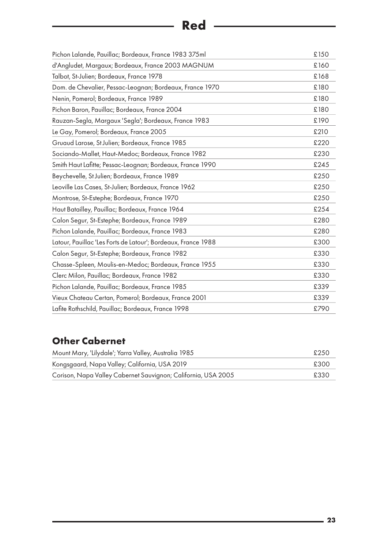## **Red** ————————————————————

| Pichon Lalande, Pauillac; Bordeaux, France 1983 375ml         | £150 |
|---------------------------------------------------------------|------|
| d'Angludet, Margaux; Bordeaux, France 2003 MAGNUM             | £160 |
| Talbot, St-Julien; Bordeaux, France 1978                      | £168 |
| Dom. de Chevalier, Pessac-Leognan; Bordeaux, France 1970      | £180 |
| Nenin, Pomerol; Bordeaux, France 1989                         | £180 |
| Pichon Baron, Pauillac; Bordeaux, France 2004                 | £180 |
| Rauzan-Segla, Margaux 'Segla'; Bordeaux, France 1983          | £190 |
| Le Gay, Pomerol; Bordeaux, France 2005                        | £210 |
| Gruaud Larose, St Julien; Bordeaux, France 1985               | £220 |
| Sociando-Mallet, Haut-Medoc; Bordeaux, France 1982            | £230 |
| Smith Haut Lafitte; Pessac-Leognan; Bordeaux, France 1990     | £245 |
| Beychevelle, St Julien; Bordeaux, France 1989                 | £250 |
| Leoville Las Cases, St-Julien; Bordeaux, France 1962          | £250 |
| Montrose, St-Estephe; Bordeaux, France 1970                   | £250 |
| Haut Batailley, Pauillac; Bordeaux, France 1964               | £254 |
| Calon Segur, St-Estephe; Bordeaux, France 1989                | £280 |
| Pichon Lalande, Pauillac; Bordeaux, France 1983               | £280 |
| Latour, Pauillac 'Les Forts de Latour'; Bordeaux, France 1988 | £300 |
| Calon Segur, St-Estephe; Bordeaux, France 1982                | £330 |
| Chasse-Spleen, Moulis-en-Medoc; Bordeaux, France 1955         | £330 |
| Clerc Milon, Pauillac; Bordeaux, France 1982                  | £330 |
| Pichon Lalande, Pauillac; Bordeaux, France 1985               | £339 |
| Vieux Chateau Certan, Pomerol; Bordeaux, France 2001          | £339 |
| Lafite Rothschild, Pauillac; Bordeaux, France 1998            | £790 |

### **Other Cabernet**

| Mount Mary, 'Lilydale'; Yarra Valley, Australia 1985          | £250 |
|---------------------------------------------------------------|------|
| Kongsgaard, Napa Valley; California, USA 2019                 | £300 |
| Corison, Napa Valley Cabernet Sauvignon; California, USA 2005 | £330 |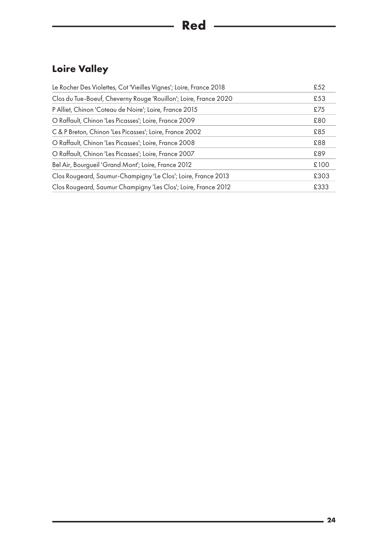### **Loire Valley**

| Le Rocher Des Violettes, Cot 'Vieilles Vignes'; Loire, France 2018 | £52  |
|--------------------------------------------------------------------|------|
| Clos du Tue-Boeuf, Cheverny Rouge 'Rouillon'; Loire, France 2020   | £53  |
| P Alliet, Chinon 'Coteau de Noire'; Loire, France 2015             | £75  |
| O Raffault, Chinon 'Les Picasses'; Loire, France 2009              | £80  |
| C & P Breton, Chinon 'Les Picasses'; Loire, France 2002            | £85  |
| O Raffault, Chinon 'Les Picasses'; Loire, France 2008              | £88  |
| O Raffault, Chinon 'Les Picasses'; Loire, France 2007              | £89  |
| Bel Air, Bourgueil 'Grand Mont'; Loire, France 2012                | £100 |
| Clos Rougeard, Saumur-Champigny 'Le Clos'; Loire, France 2013      | £303 |
| Clos Rougeard, Saumur Champigny 'Les Clos'; Loire, France 2012     | £333 |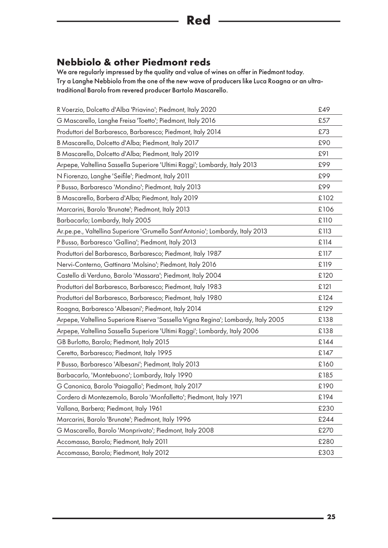#### <span id="page-24-0"></span>**Nebbiolo & other Piedmont reds**

We are regularly impressed by the quality and value of wines on offer in Piedmont today. Try a Langhe Nebbiolo from the one of the new wave of producers like Luca Roagna or an ultratraditional Barolo from revered producer Bartolo Mascarello.

| R Voerzio, Dolcetto d'Alba 'Priavino'; Piedmont, Italy 2020                        | £49  |
|------------------------------------------------------------------------------------|------|
| G Mascarello, Langhe Freisa 'Toetto'; Piedmont, Italy 2016                         | £57  |
| Produttori del Barbaresco, Barbaresco; Piedmont, Italy 2014                        | £73  |
| B Mascarello, Dolcetto d'Alba; Piedmont, Italy 2017                                | £90  |
| B Mascarello, Dolcetto d'Alba; Piedmont, Italy 2019                                | £91  |
| Arpepe, Valtellina Sassella Superiore 'Ultimi Raggi'; Lombardy, Italy 2013         | £99  |
| N Fiorenzo, Langhe 'Seifile'; Piedmont, Italy 2011                                 | £99  |
| P Busso, Barbaresco 'Mondino'; Piedmont, Italy 2013                                | £99  |
| B Mascarello, Barbera d'Alba; Piedmont, Italy 2019                                 | £102 |
| Marcarini, Barolo 'Brunate'; Piedmont, Italy 2013                                  | £106 |
| Barbacarlo; Lombardy, Italy 2005                                                   | £110 |
| Ar.pe.pe., Valtellina Superiore 'Grumello Sant'Antonio'; Lombardy, Italy 2013      | £113 |
| P Busso, Barbaresco 'Gallina'; Piedmont, Italy 2013                                | £114 |
| Produttori del Barbaresco, Barbaresco; Piedmont, Italy 1987                        | £117 |
| Nervi-Conterno, Gattinara 'Molsino'; Piedmont, Italy 2016                          | £119 |
| Castello di Verduno, Barolo 'Massara'; Piedmont, Italy 2004                        | £120 |
| Produttori del Barbaresco, Barbaresco; Piedmont, Italy 1983                        | £121 |
| Produttori del Barbaresco, Barbaresco; Piedmont, Italy 1980                        | £124 |
| Roagna, Barbaresco 'Albesani'; Piedmont, Italy 2014                                | £129 |
| Arpepe, Valtellina Superiore Riserva 'Sassella Vigna Regina'; Lombardy, Italy 2005 | £138 |
| Arpepe, Valtellina Sassella Superiore 'Ultimi Raggi'; Lombardy, Italy 2006         | £138 |
| GB Burlotto, Barolo; Piedmont, Italy 2015                                          | £144 |
| Ceretto, Barbaresco; Piedmont, Italy 1995                                          | £147 |
| P Busso, Barbaresco 'Albesani'; Piedmont, Italy 2013                               | £160 |
| Barbacarlo, 'Montebuono'; Lombardy, Italy 1990                                     | £185 |
| G Canonica, Barolo 'Paiagallo'; Piedmont, Italy 2017                               | £190 |
| Cordero di Montezemolo, Barolo 'Monfalletto'; Piedmont, Italy 1971                 | £194 |
| Vallana, Barbera; Piedmont, Italy 1961                                             | £230 |
| Marcarini, Barolo 'Brunate'; Piedmont, Italy 1996                                  | £244 |
| G Mascarello, Barolo 'Monprivato'; Piedmont, Italy 2008                            | £270 |
| Accomasso, Barolo; Piedmont, Italy 2011                                            | £280 |
| Accomasso, Barolo; Piedmont, Italy 2012                                            | £303 |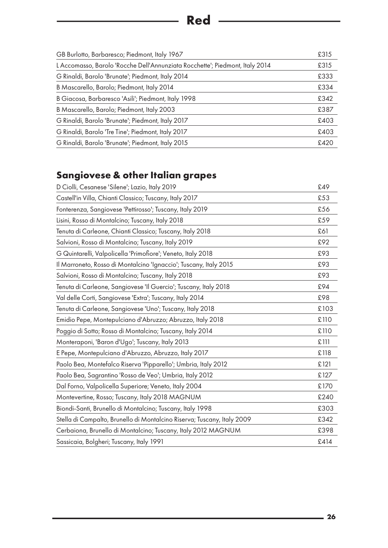| GB Burlotto, Barbaresco; Piedmont, Italy 1967                                | £315 |
|------------------------------------------------------------------------------|------|
| L Accomasso, Barolo 'Rocche Dell'Annunziata Rocchette'; Piedmont, Italy 2014 | £315 |
| G Rinaldi, Barolo 'Brunate'; Piedmont, Italy 2014                            | £333 |
| B Mascarello, Barolo; Piedmont, Italy 2014                                   | £334 |
| B Giacosa, Barbaresco 'Asili'; Piedmont, Italy 1998                          | £342 |
| B Mascarello, Barolo; Piedmont, Italy 2003                                   | £387 |
| G Rinaldi, Barolo 'Brunate'; Piedmont, Italy 2017                            | £403 |
| G Rinaldi, Barolo 'Tre Tine'; Piedmont, Italy 2017                           | £403 |
| G Rinaldi, Barolo 'Brunate'; Piedmont, Italy 2015                            | £420 |

## <span id="page-25-0"></span>**Sangiovese & other Italian grapes**

| D Ciolli, Cesanese 'Silene'; Lazio, Italy 2019                          | £49  |
|-------------------------------------------------------------------------|------|
| Castell'in Villa, Chianti Classico; Tuscany, Italy 2017                 | £53  |
| Fonterenza, Sangiovese 'Pettirosso'; Tuscany, Italy 2019                | £56  |
| Lisini, Rosso di Montalcino; Tuscany, Italy 2018                        | £59  |
| Tenuta di Carleone, Chianti Classico; Tuscany, Italy 2018               | £61  |
| Salvioni, Rosso di Montalcino; Tuscany, Italy 2019                      | £92  |
| G Quintarelli, Valpolicella 'Primofiore'; Veneto, Italy 2018            | £93  |
| Il Marroneto, Rosso di Montalcino 'Ignaccio'; Tuscany, Italy 2015       | £93  |
| Salvioni, Rosso di Montalcino; Tuscany, Italy 2018                      | £93  |
| Tenuta di Carleone, Sangiovese 'Il Guercio'; Tuscany, Italy 2018        | £94  |
| Val delle Corti, Sangiovese 'Extra'; Tuscany, Italy 2014                | £98  |
| Tenuta di Carleone, Sangiovese 'Uno'; Tuscany, Italy 2018               | £103 |
| Emidio Pepe, Montepulciano d'Abruzzo; Abruzzo, Italy 2018               | £110 |
| Poggio di Sotto; Rosso di Montalcino; Tuscany, Italy 2014               | £110 |
| Monteraponi, 'Baron d'Ugo'; Tuscany, Italy 2013                         | £111 |
| E Pepe, Montepulciano d'Abruzzo, Abruzzo, Italy 2017                    | £118 |
| Paolo Bea, Montefalco Riserva 'Pipparello'; Umbria, Italy 2012          | £121 |
| Paolo Bea, Sagrantino 'Rosso de Veo'; Umbria, Italy 2012                | £127 |
| Dal Forno, Valpolicella Superiore; Veneto, Italy 2004                   | £170 |
| Montevertine, Rosso; Tuscany, Italy 2018 MAGNUM                         | £240 |
| Biondi-Santi, Brunello di Montalcino; Tuscany, Italy 1998               | £303 |
| Stella di Campalto, Brunello di Montalcino Riserva; Tuscany, Italy 2009 | £342 |
| Cerbaiona, Brunello di Montalcino; Tuscany, Italy 2012 MAGNUM           | £398 |
| Sassicaia, Bolgheri; Tuscany, Italy 1991                                | £414 |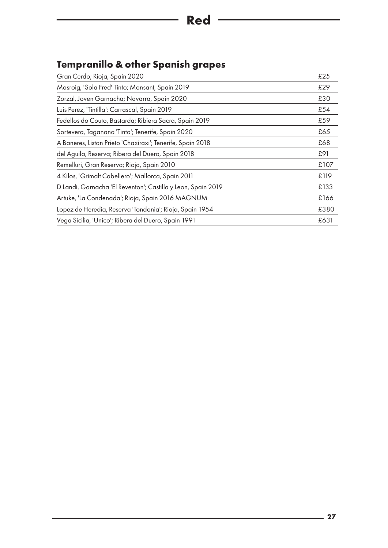### <span id="page-26-0"></span>**Tempranillo & other Spanish grapes**

| Gran Cerdo; Rioja, Spain 2020                                | £25  |
|--------------------------------------------------------------|------|
| Masroig, 'Sola Fred' Tinto; Monsant, Spain 2019              | £29  |
| Zorzal, Joven Garnacha; Navarra, Spain 2020                  | £30  |
| Luis Perez, 'Tintilla'; Carrascal, Spain 2019                | £54  |
| Fedellos do Couto, Bastarda; Ribiera Sacra, Spain 2019       | £59  |
| Sortevera, Taganana 'Tinto'; Tenerife, Spain 2020            | £65  |
| A Baneres, Listan Prieto 'Chaxiraxi'; Tenerife, Spain 2018   | £68  |
| del Aguila, Reserva; Ribera del Duero, Spain 2018            | £91  |
| Remelluri, Gran Reserva; Rioja, Spain 2010                   | £107 |
| 4 Kilos, 'Grimalt Cabellero'; Mallorca, Spain 2011           | £119 |
| D Landi, Garnacha 'El Reventon'; Castilla y Leon, Spain 2019 | £133 |
| Artuke, 'La Condenada'; Rioja, Spain 2016 MAGNUM             | £166 |
| Lopez de Heredia, Reserva 'Tondonia'; Rioja, Spain 1954      | £380 |
| Vega Sicilia, 'Unico'; Ribera del Duero, Spain 1991          | £631 |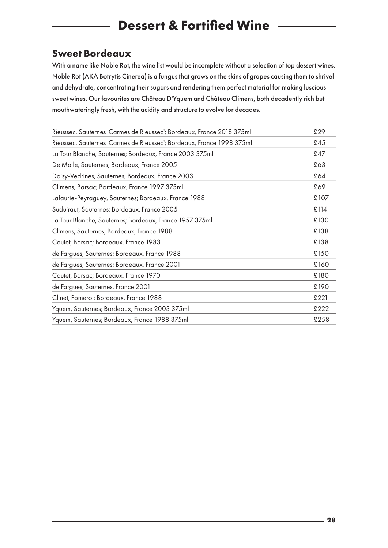## <span id="page-27-0"></span>**Dessert & Fortified Wine**

#### <span id="page-27-1"></span>**Sweet Bordeaux**

With a name like Noble Rot, the wine list would be incomplete without a selection of top dessert wines. Noble Rot (AKA Botrytis Cinerea) is a fungus that grows on the skins of grapes causing them to shrivel and dehydrate, concentrating their sugars and rendering them perfect material for making luscious sweet wines. Our favourites are Château D'Yquem and Château Climens, both decadently rich but mouthwateringly fresh, with the acidity and structure to evolve for decades.

<span id="page-27-2"></span>

| Rieussec, Sauternes 'Carmes de Rieussec'; Bordeaux, France 2018 375ml | £29  |
|-----------------------------------------------------------------------|------|
| Rieussec, Sauternes 'Carmes de Rieussec'; Bordeaux, France 1998 375ml | £45  |
| La Tour Blanche, Sauternes; Bordeaux, France 2003 375ml               | £47  |
| De Malle, Sauternes; Bordeaux, France 2005                            | £63  |
| Doisy-Vedrines, Sauternes; Bordeaux, France 2003                      | £64  |
| Climens, Barsac; Bordeaux, France 1997 375ml                          | £69  |
| Lafaurie-Peyraguey, Sauternes; Bordeaux, France 1988                  | £107 |
| Suduiraut, Sauternes; Bordeaux, France 2005                           | £114 |
| La Tour Blanche, Sauternes; Bordeaux, France 1957 375ml               | £130 |
| Climens, Sauternes; Bordeaux, France 1988                             | £138 |
| Coutet, Barsac; Bordeaux, France 1983                                 | £138 |
| de Fargues, Sauternes; Bordeaux, France 1988                          | £150 |
| de Fargues; Sauternes; Bordeaux, France 2001                          | £160 |
| Coutet, Barsac; Bordeaux, France 1970                                 | £180 |
| de Fargues; Sauternes, France 2001                                    | £190 |
| Clinet, Pomerol; Bordeaux, France 1988                                | £221 |
| Yquem, Sauternes; Bordeaux, France 2003 375ml                         | £222 |
| Yquem, Sauternes; Bordeaux, France 1988 375ml                         | £258 |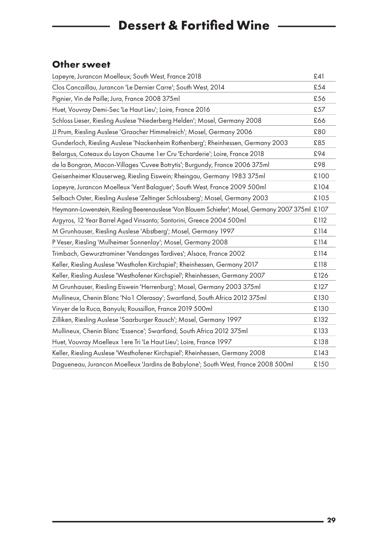## **Dessert & Fortified Wine ————**

#### **Other sweet**

<span id="page-28-0"></span>

| Lapeyre, Jurancon Moelleux; South West, France 2018                                              | £41  |
|--------------------------------------------------------------------------------------------------|------|
| Clos Cancaillau, Jurancon 'Le Dernier Carre'; South West, 2014                                   | £54  |
| Pignier, Vin de Paille; Jura, France 2008 375ml                                                  | £56  |
| Huet, Vouvray Demi-Sec 'Le Haut Lieu'; Loire, France 2016                                        | £57  |
| Schloss Lieser, Riesling Auslese 'Niederberg Helden'; Mosel, Germany 2008                        | £66  |
| JJ Prum, Riesling Auslese 'Graacher Himmelreich'; Mosel, Germany 2006                            | £80  |
| Gunderloch, Riesling Auslese 'Nackenheim Rothenberg'; Rheinhessen, Germany 2003                  | £85  |
| Belargus, Coteaux du Layon Chaume 1 er Cru 'Echarderie'; Loire, France 2018                      | £94  |
| de la Bongran, Macon-Villages 'Cuvee Botrytis'; Burgundy, France 2006 375ml                      | £98  |
| Geisenheimer Klauserweg, Riesling Eiswein; Rheingau, Germany 1983 375ml                          | £100 |
| Lapeyre, Jurancon Moelleux 'Vent Balaguer'; South West, France 2009 500ml                        | £104 |
| Selbach Oster, Riesling Auslese 'Zeltinger Schlossberg'; Mosel, Germany 2003                     | £105 |
| Heymann-Lowenstein, Riesling Beerenauslese 'Von Blauem Schiefer'; Mosel, Germany 2007 375ml £107 |      |
| Argyros, 12 Year Barrel Aged Vinsanto; Santorini, Greece 2004 500ml                              | £112 |
| M Grunhauser, Riesling Auslese 'Abstberg'; Mosel, Germany 1997                                   | £114 |
| P Veser, Riesling 'Mulheimer Sonnenlay'; Mosel, Germany 2008                                     | £114 |
| Trimbach, Gewurztraminer 'Vendanges Tardives'; Alsace, France 2002                               | £114 |
| Keller, Riesling Auslese 'Westhofen Kirchspiel'; Rheinhessen, Germany 2017                       | £118 |
| Keller, Riesling Auslese 'Westhofener Kirchspiel'; Rheinhessen, Germany 2007                     | £126 |
| M Grunhauser, Riesling Eiswein 'Herrenburg'; Mosel, Germany 2003 375ml                           | £127 |
| Mullineux, Chenin Blanc 'No1 Olerasay'; Swartland, South Africa 2012 375ml                       | £130 |
| Vinyer de la Ruca, Banyuls; Roussillon, France 2019 500ml                                        | £130 |
| Zilliken, Riesling Auslese 'Saarburger Rausch'; Mosel, Germany 1997                              | £132 |
| Mullineux, Chenin Blanc 'Essence'; Swartland, South Africa 2012 375ml                            | £133 |
| Huet, Vouvray Moelleux 1 ere Tri 'Le Haut Lieu'; Loire, France 1997                              | £138 |
| Keller, Riesling Auslese 'Westhofener Kirchspiel'; Rheinhessen, Germany 2008                     | £143 |
| Dagueneau, Jurancon Moelleux 'Jardins de Babylone'; South West, France 2008 500ml                | £150 |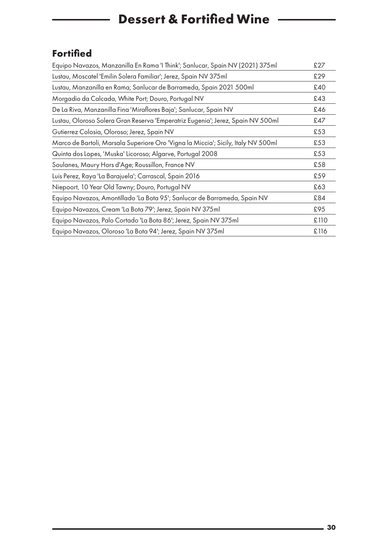## **Dessert & Fortified Wine**

#### **Fortified**

| Equipo Navazos, Manzanilla En Rama 'I Think'; Sanlucar, Spain NV (2021) 375ml     | £27  |
|-----------------------------------------------------------------------------------|------|
| Lustau, Moscatel 'Emilin Solera Familiar'; Jerez, Spain NV 375ml                  | £29  |
| Lustau, Manzanilla en Rama; Sanlucar de Barrameda, Spain 2021 500ml               | £40  |
| Morgadio da Calcada, White Port; Douro, Portugal NV                               | £43  |
| De La Riva, Manzanilla Fina 'Miraflores Baja'; Sanlucar, Spain NV                 | £46  |
| Lustau, Oloroso Solera Gran Reserva 'Emperatriz Eugenia'; Jerez, Spain NV 500ml   | £47  |
| Gutierrez Colosia, Oloroso; Jerez, Spain NV                                       | £53  |
| Marco de Bartoli, Marsala Superiore Oro 'Vigna la Miccia'; Sicily, Italy NV 500ml | £53  |
| Quinta dos Lopes, 'Muska' Licoroso; Algarve, Portugal 2008                        | £53  |
| Soulanes, Maury Hors d'Age; Roussillon, France NV                                 | £58  |
| Luis Perez, Raya 'La Barajuela'; Carrascal, Spain 2016                            | £59  |
| Niepoort, 10 Year Old Tawny; Douro, Portugal NV                                   | £63  |
| Equipo Navazos, Amontillado 'La Bota 95'; Sanlucar de Barrameda, Spain NV         | £84  |
| Equipo Navazos, Cream 'La Bota 79'; Jerez, Spain NV 375ml                         | £95  |
| Equipo Navazos, Palo Cortado 'La Bota 86'; Jerez, Spain NV 375ml                  | £110 |
| Equipo Navazos, Oloroso 'La Bota 94'; Jerez, Spain NV 375ml                       | £116 |